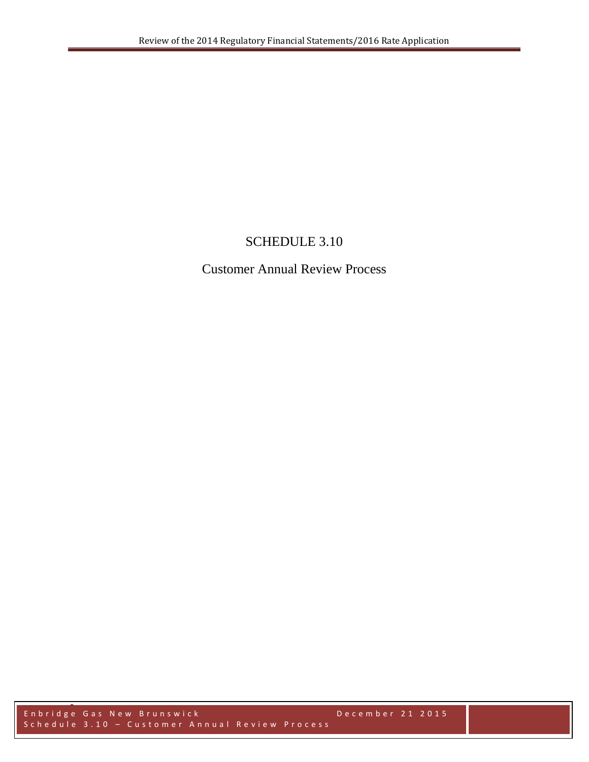# SCHEDULE 3.10

## Customer Annual Review Process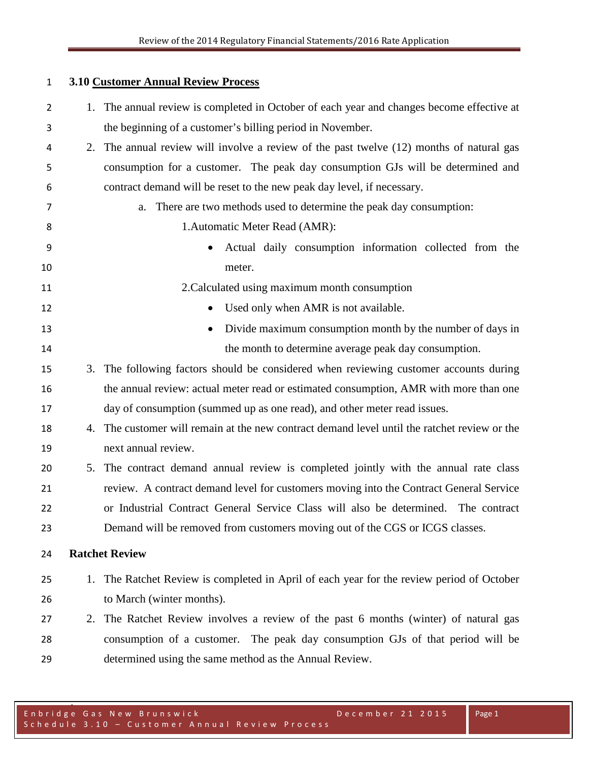### **3.10 Customer Annual Review Process**

| $\overline{2}$ |    | 1. The annual review is completed in October of each year and changes become effective at |
|----------------|----|-------------------------------------------------------------------------------------------|
| 3              |    | the beginning of a customer's billing period in November.                                 |
| 4              |    | 2. The annual review will involve a review of the past twelve (12) months of natural gas  |
| 5              |    | consumption for a customer. The peak day consumption GJs will be determined and           |
| 6              |    | contract demand will be reset to the new peak day level, if necessary.                    |
| 7              |    | There are two methods used to determine the peak day consumption:<br>a.                   |
| 8              |    | 1. Automatic Meter Read (AMR):                                                            |
| 9              |    | Actual daily consumption information collected from the<br>$\bullet$                      |
| 10             |    | meter.                                                                                    |
| 11             |    | 2. Calculated using maximum month consumption                                             |
| 12             |    | Used only when AMR is not available.<br>$\bullet$                                         |
| 13             |    | Divide maximum consumption month by the number of days in<br>$\bullet$                    |
| 14             |    | the month to determine average peak day consumption.                                      |
| 15             | 3. | The following factors should be considered when reviewing customer accounts during        |
| 16             |    | the annual review: actual meter read or estimated consumption, AMR with more than one     |
| 17             |    | day of consumption (summed up as one read), and other meter read issues.                  |
| 18             | 4. | The customer will remain at the new contract demand level until the ratchet review or the |
| 19             |    | next annual review.                                                                       |
| 20             |    | 5. The contract demand annual review is completed jointly with the annual rate class      |
| 21             |    | review. A contract demand level for customers moving into the Contract General Service    |
| 22             |    | or Industrial Contract General Service Class will also be determined. The contract        |
| 23             |    | Demand will be removed from customers moving out of the CGS or ICGS classes.              |
| 24             |    | <b>Ratchet Review</b>                                                                     |
| 25             |    | 1. The Ratchet Review is completed in April of each year for the review period of October |
| 26             |    | to March (winter months).                                                                 |
| 27             | 2. | The Ratchet Review involves a review of the past 6 months (winter) of natural gas         |
| 28             |    | consumption of a customer. The peak day consumption GJs of that period will be            |
| 29             |    | determined using the same method as the Annual Review.                                    |